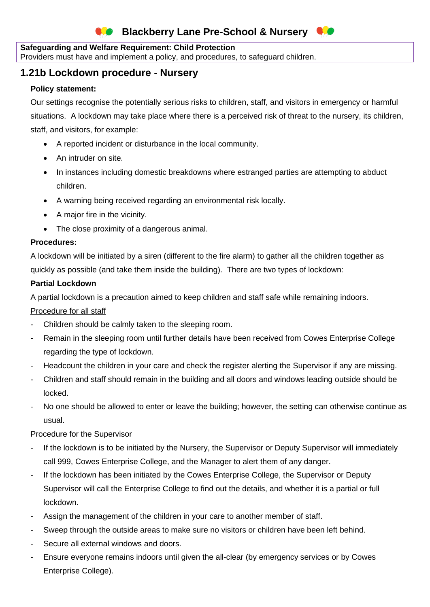# **Blackberry Lane Pre-School & Nursery**

### **Safeguarding and Welfare Requirement: Child Protection**

Providers must have and implement a policy, and procedures, to safeguard children.

### **1.21b Lockdown procedure - Nursery**

### **Policy statement:**

Our settings recognise the potentially serious risks to children, staff, and visitors in emergency or harmful situations. A lockdown may take place where there is a perceived risk of threat to the nursery, its children, staff, and visitors, for example:

- A reported incident or disturbance in the local community.
- An intruder on site.
- In instances including domestic breakdowns where estranged parties are attempting to abduct children.
- A warning being received regarding an environmental risk locally.
- A major fire in the vicinity.
- The close proximity of a dangerous animal.

### **Procedures:**

A lockdown will be initiated by a siren (different to the fire alarm) to gather all the children together as quickly as possible (and take them inside the building). There are two types of lockdown:

### **Partial Lockdown**

A partial lockdown is a precaution aimed to keep children and staff safe while remaining indoors.

### Procedure for all staff

- Children should be calmly taken to the sleeping room.
- Remain in the sleeping room until further details have been received from Cowes Enterprise College regarding the type of lockdown.
- Headcount the children in your care and check the register alerting the Supervisor if any are missing.
- Children and staff should remain in the building and all doors and windows leading outside should be locked.
- No one should be allowed to enter or leave the building; however, the setting can otherwise continue as usual.

### Procedure for the Supervisor

- If the lockdown is to be initiated by the Nursery, the Supervisor or Deputy Supervisor will immediately call 999, Cowes Enterprise College, and the Manager to alert them of any danger.
- If the lockdown has been initiated by the Cowes Enterprise College, the Supervisor or Deputy Supervisor will call the Enterprise College to find out the details, and whether it is a partial or full lockdown.
- Assign the management of the children in your care to another member of staff.
- Sweep through the outside areas to make sure no visitors or children have been left behind.
- Secure all external windows and doors.
- Ensure everyone remains indoors until given the all-clear (by emergency services or by Cowes Enterprise College).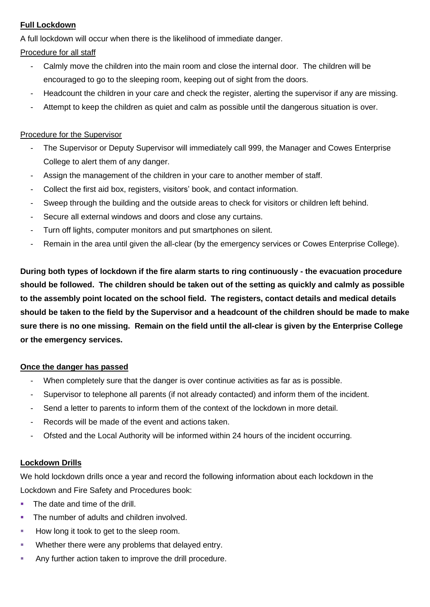# **Full Lockdown**

A full lockdown will occur when there is the likelihood of immediate danger.

Procedure for all staff

- Calmly move the children into the main room and close the internal door. The children will be encouraged to go to the sleeping room, keeping out of sight from the doors.
- Headcount the children in your care and check the register, alerting the supervisor if any are missing.
- Attempt to keep the children as quiet and calm as possible until the dangerous situation is over.

# Procedure for the Supervisor

- The Supervisor or Deputy Supervisor will immediately call 999, the Manager and Cowes Enterprise College to alert them of any danger.
- Assign the management of the children in your care to another member of staff.
- Collect the first aid box, registers, visitors' book, and contact information.
- Sweep through the building and the outside areas to check for visitors or children left behind.
- Secure all external windows and doors and close any curtains.
- Turn off lights, computer monitors and put smartphones on silent.
- Remain in the area until given the all-clear (by the emergency services or Cowes Enterprise College).

**During both types of lockdown if the fire alarm starts to ring continuously - the evacuation procedure should be followed. The children should be taken out of the setting as quickly and calmly as possible to the assembly point located on the school field. The registers, contact details and medical details should be taken to the field by the Supervisor and a headcount of the children should be made to make sure there is no one missing. Remain on the field until the all-clear is given by the Enterprise College or the emergency services.**

# **Once the danger has passed**

- When completely sure that the danger is over continue activities as far as is possible.
- Supervisor to telephone all parents (if not already contacted) and inform them of the incident.
- Send a letter to parents to inform them of the context of the lockdown in more detail.
- Records will be made of the event and actions taken.
- Ofsted and the Local Authority will be informed within 24 hours of the incident occurring.

# **Lockdown Drills**

We hold lockdown drills once a year and record the following information about each lockdown in the Lockdown and Fire Safety and Procedures book:

- The date and time of the drill.
- The number of adults and children involved.
- How long it took to get to the sleep room.
- Whether there were any problems that delayed entry.
- Any further action taken to improve the drill procedure.